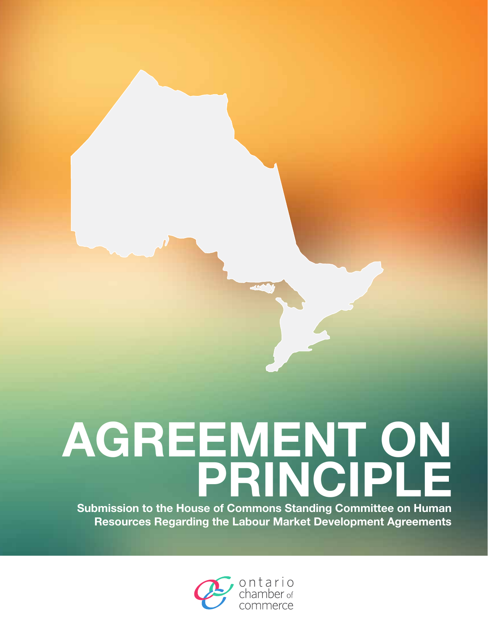# **AGREEMENT ON PRINCIPLE**

**Submission to the House of Commons Standing Committee on Human Resources Regarding the Labour Market Development Agreements**

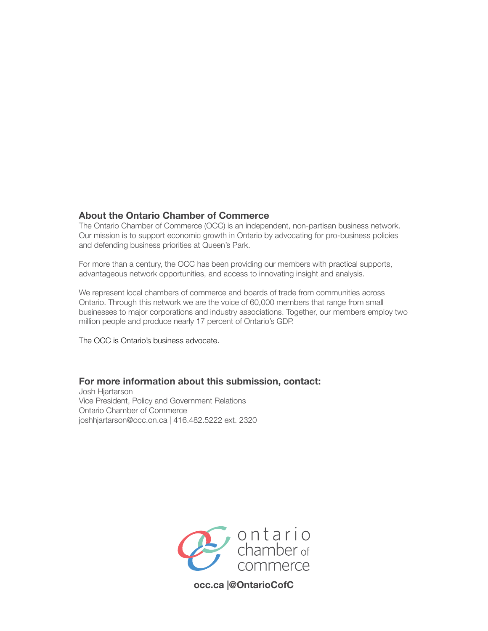#### **About the Ontario Chamber of Commerce**

The Ontario Chamber of Commerce (OCC) is an independent, non-partisan business network. Our mission is to support economic growth in Ontario by advocating for pro-business policies and defending business priorities at Queen's Park.

For more than a century, the OCC has been providing our members with practical supports, advantageous network opportunities, and access to innovating insight and analysis.

We represent local chambers of commerce and boards of trade from communities across Ontario. Through this network we are the voice of 60,000 members that range from small businesses to major corporations and industry associations. Together, our members employ two million people and produce nearly 17 percent of Ontario's GDP.

The OCC is Ontario's business advocate.

#### **For more information about this submission, contact:**

Josh Hjartarson Vice President, Policy and Government Relations Ontario Chamber of Commerce joshhjartarson@occ.on.ca | 416.482.5222 ext. 2320



**occ.ca |@OntarioCofC**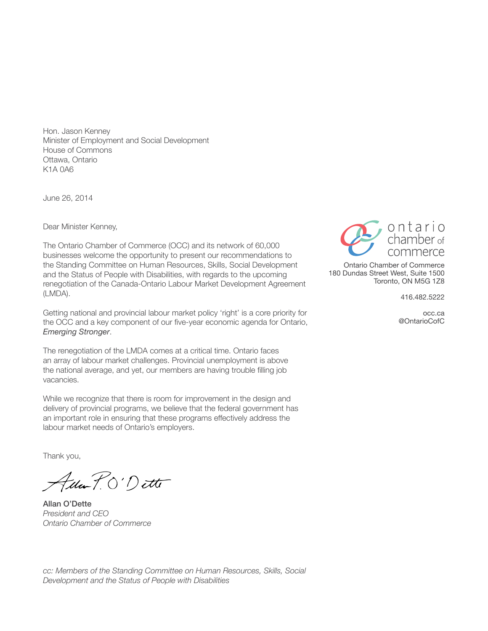Hon. Jason Kenney Minister of Employment and Social Development House of Commons Ottawa, Ontario K1A 0A6

June 26, 2014

Dear Minister Kenney,

The Ontario Chamber of Commerce (OCC) and its network of 60,000 businesses welcome the opportunity to present our recommendations to the Standing Committee on Human Resources, Skills, Social Development and the Status of People with Disabilities, with regards to the upcoming renegotiation of the Canada-Ontario Labour Market Development Agreement (LMDA).

Getting national and provincial labour market policy 'right' is a core priority for the OCC and a key component of our five-year economic agenda for Ontario, *Emerging Stronger*.

The renegotiation of the LMDA comes at a critical time. Ontario faces an array of labour market challenges. Provincial unemployment is above the national average, and yet, our members are having trouble filling job vacancies.

While we recognize that there is room for improvement in the design and delivery of provincial programs, we believe that the federal government has an important role in ensuring that these programs effectively address the labour market needs of Ontario's employers.

Thank you,

Ada P.O'Dette

Allan O'Dette *President and CEO Ontario Chamber of Commerce*



Ontario Chamber of Commerce 180 Dundas Street West, Suite 1500 Toronto, ON M5G 1Z8

416.482.5222

occ.ca @OntarioCofC

*cc: Members of the Standing Committee on Human Resources, Skills, Social Development and the Status of People with Disabilities*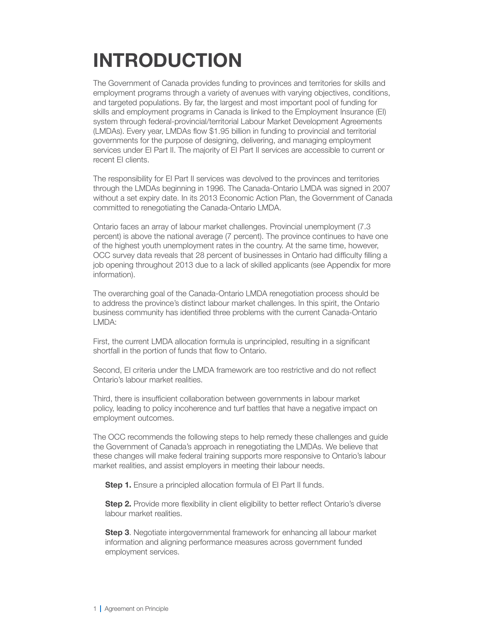# **Introduction**

The Government of Canada provides funding to provinces and territories for skills and employment programs through a variety of avenues with varying objectives, conditions, and targeted populations. By far, the largest and most important pool of funding for skills and employment programs in Canada is linked to the Employment Insurance (EI) system through federal-provincial/territorial Labour Market Development Agreements (LMDAs). Every year, LMDAs flow \$1.95 billion in funding to provincial and territorial governments for the purpose of designing, delivering, and managing employment services under EI Part II. The majority of EI Part II services are accessible to current or recent EI clients.

The responsibility for EI Part II services was devolved to the provinces and territories through the LMDAs beginning in 1996. The Canada-Ontario LMDA was signed in 2007 without a set expiry date. In its 2013 Economic Action Plan, the Government of Canada committed to renegotiating the Canada-Ontario LMDA.

Ontario faces an array of labour market challenges. Provincial unemployment (7.3 percent) is above the national average (7 percent). The province continues to have one of the highest youth unemployment rates in the country. At the same time, however, OCC survey data reveals that 28 percent of businesses in Ontario had difficulty filling a job opening throughout 2013 due to a lack of skilled applicants (see Appendix for more information).

The overarching goal of the Canada-Ontario LMDA renegotiation process should be to address the province's distinct labour market challenges. In this spirit, the Ontario business community has identified three problems with the current Canada-Ontario LMDA:

First, the current LMDA allocation formula is unprincipled, resulting in a significant shortfall in the portion of funds that flow to Ontario.

Second, EI criteria under the LMDA framework are too restrictive and do not reflect Ontario's labour market realities.

Third, there is insufficient collaboration between governments in labour market policy, leading to policy incoherence and turf battles that have a negative impact on employment outcomes.

The OCC recommends the following steps to help remedy these challenges and guide the Government of Canada's approach in renegotiating the LMDAs. We believe that these changes will make federal training supports more responsive to Ontario's labour market realities, and assist employers in meeting their labour needs.

**Step 1.** Ensure a principled allocation formula of EI Part II funds.

**Step 2.** Provide more flexibility in client eligibility to better reflect Ontario's diverse labour market realities.

**Step 3.** Negotiate intergovernmental framework for enhancing all labour market information and aligning performance measures across government funded employment services.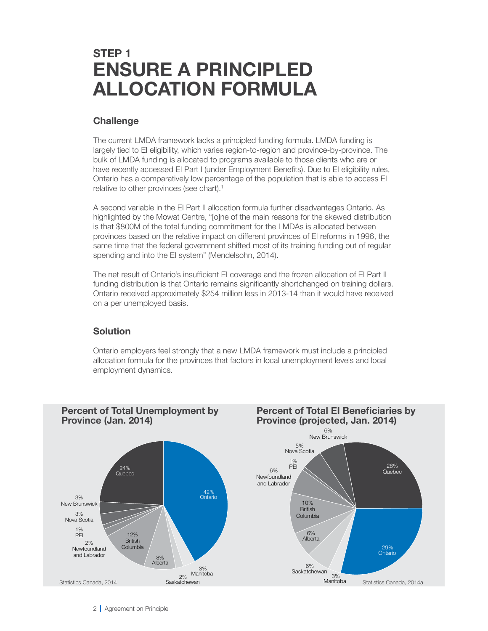### **STEP 1 ENSURE A PRINCIPLED ALLOCATION FORMULA**

#### **Challenge**

The current LMDA framework lacks a principled funding formula. LMDA funding is largely tied to EI eligibility, which varies region-to-region and province-by-province. The bulk of LMDA funding is allocated to programs available to those clients who are or have recently accessed EI Part I (under Employment Benefits). Due to EI eligibility rules, Ontario has a comparatively low percentage of the population that is able to access EI relative to other provinces (see chart).<sup>1</sup>

A second variable in the EI Part II allocation formula further disadvantages Ontario. As highlighted by the Mowat Centre, "[o]ne of the main reasons for the skewed distribution is that \$800M of the total funding commitment for the LMDAs is allocated between provinces based on the relative impact on different provinces of EI reforms in 1996, the same time that the federal government shifted most of its training funding out of regular spending and into the EI system" (Mendelsohn, 2014).

The net result of Ontario's insufficient EI coverage and the frozen allocation of EI Part II funding distribution is that Ontario remains significantly shortchanged on training dollars. Ontario received approximately \$254 million less in 2013-14 than it would have received on a per unemployed basis.

#### **Solution**

Ontario employers feel strongly that a new LMDA framework must include a principled allocation formula for the provinces that factors in local unemployment levels and local employment dynamics.

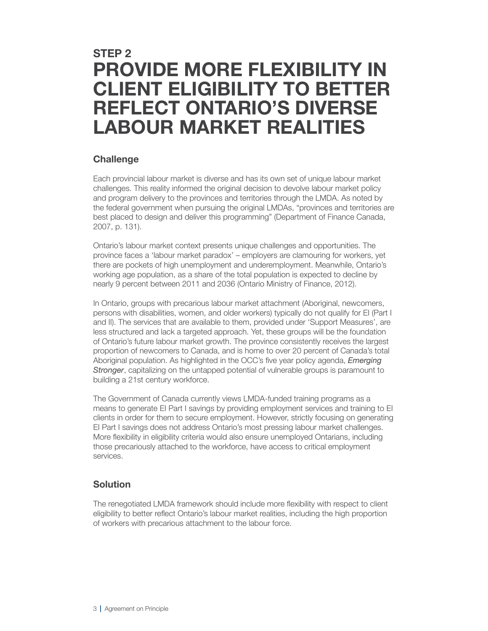## **STEP 2 PROVIDE MORE FLEXIBILITY IN CLIENT ELIGIBILITY TO BETTER REFLECT ONTARIO'S DIVERSE LABOUR MARKET REALITIES**

#### **Challenge**

Each provincial labour market is diverse and has its own set of unique labour market challenges. This reality informed the original decision to devolve labour market policy and program delivery to the provinces and territories through the LMDA. As noted by the federal government when pursuing the original LMDAs, "provinces and territories are best placed to design and deliver this programming" (Department of Finance Canada, 2007, p. 131).

Ontario's labour market context presents unique challenges and opportunities. The province faces a 'labour market paradox' – employers are clamouring for workers, yet there are pockets of high unemployment and underemployment. Meanwhile, Ontario's working age population, as a share of the total population is expected to decline by nearly 9 percent between 2011 and 2036 (Ontario Ministry of Finance, 2012).

In Ontario, groups with precarious labour market attachment (Aboriginal, newcomers, persons with disabilities, women, and older workers) typically do not qualify for EI (Part I and II). The services that are available to them, provided under 'Support Measures', are less structured and lack a targeted approach. Yet, these groups will be the foundation of Ontario's future labour market growth. The province consistently receives the largest proportion of newcomers to Canada, and is home to over 20 percent of Canada's total Aboriginal population. As highlighted in the OCC's five year policy agenda, *Emerging Stronger*, capitalizing on the untapped potential of vulnerable groups is paramount to building a 21st century workforce.

The Government of Canada currently views LMDA-funded training programs as a means to generate EI Part I savings by providing employment services and training to EI clients in order for them to secure employment. However, strictly focusing on generating EI Part I savings does not address Ontario's most pressing labour market challenges. More flexibility in eligibility criteria would also ensure unemployed Ontarians, including those precariously attached to the workforce, have access to critical employment services.

#### **Solution**

The renegotiated LMDA framework should include more flexibility with respect to client eligibility to better reflect Ontario's labour market realities, including the high proportion of workers with precarious attachment to the labour force.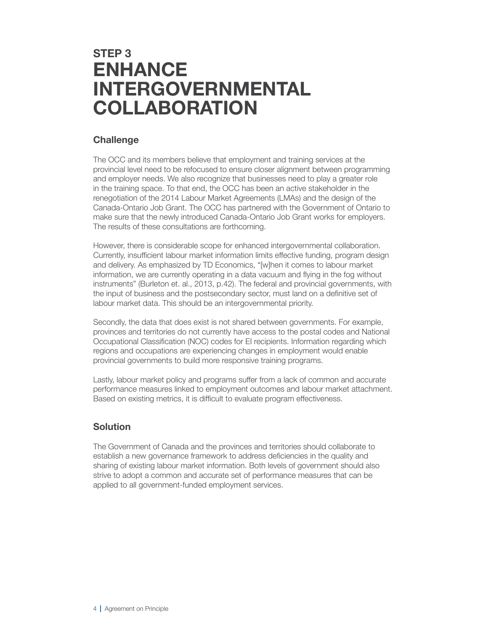## **STEP 3 ENHANCE INTERGOVERNMENTAL COLLABORATION**

#### **Challenge**

The OCC and its members believe that employment and training services at the provincial level need to be refocused to ensure closer alignment between programming and employer needs. We also recognize that businesses need to play a greater role in the training space. To that end, the OCC has been an active stakeholder in the renegotiation of the 2014 Labour Market Agreements (LMAs) and the design of the Canada-Ontario Job Grant. The OCC has partnered with the Government of Ontario to make sure that the newly introduced Canada-Ontario Job Grant works for employers. The results of these consultations are forthcoming.

However, there is considerable scope for enhanced intergovernmental collaboration. Currently, insufficient labour market information limits effective funding, program design and delivery. As emphasized by TD Economics, "[w]hen it comes to labour market information, we are currently operating in a data vacuum and flying in the fog without instruments" (Burleton et. al., 2013, p.42). The federal and provincial governments, with the input of business and the postsecondary sector, must land on a definitive set of labour market data. This should be an intergovernmental priority.

Secondly, the data that does exist is not shared between governments. For example, provinces and territories do not currently have access to the postal codes and National Occupational Classification (NOC) codes for EI recipients. Information regarding which regions and occupations are experiencing changes in employment would enable provincial governments to build more responsive training programs.

Lastly, labour market policy and programs suffer from a lack of common and accurate performance measures linked to employment outcomes and labour market attachment. Based on existing metrics, it is difficult to evaluate program effectiveness.

#### **Solution**

The Government of Canada and the provinces and territories should collaborate to establish a new governance framework to address deficiencies in the quality and sharing of existing labour market information. Both levels of government should also strive to adopt a common and accurate set of performance measures that can be applied to all government-funded employment services.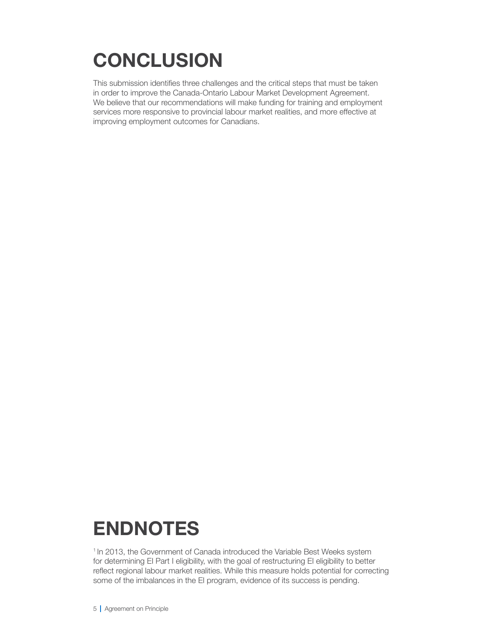# **CONCLUSION**

This submission identifies three challenges and the critical steps that must be taken in order to improve the Canada-Ontario Labour Market Development Agreement. We believe that our recommendations will make funding for training and employment services more responsive to provincial labour market realities, and more effective at improving employment outcomes for Canadians.

## **Endnotes**

<sup>1</sup> In 2013, the Government of Canada introduced the Variable Best Weeks system for determining EI Part I eligibility, with the goal of restructuring EI eligibility to better reflect regional labour market realities. While this measure holds potential for correcting some of the imbalances in the EI program, evidence of its success is pending.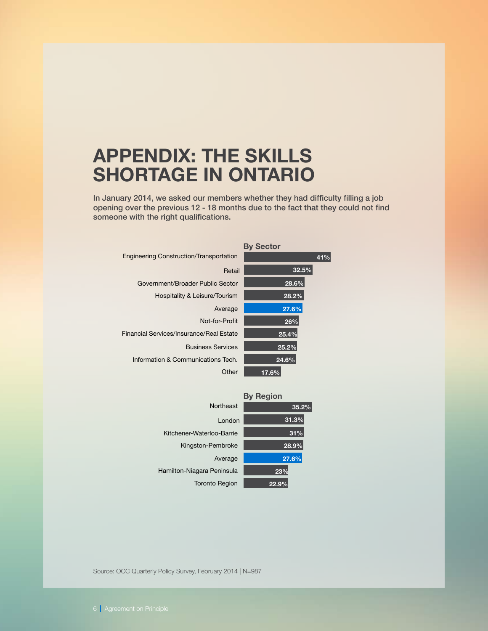## **Appendix: The Skills Shortage in Ontario**

In January 2014, we asked our members whether they had difficulty filling a job opening over the previous 12 - 18 months due to the fact that they could not find someone with the right qualifications.

|                                                | <b>By Sector</b> |
|------------------------------------------------|------------------|
| <b>Engineering Construction/Transportation</b> | 41%              |
| Retail                                         | 32.5%            |
| Government/Broader Public Sector               | 28.6%            |
| Hospitality & Leisure/Tourism                  | 28.2%            |
| Average                                        | 27.6%            |
| Not-for-Profit                                 | 26%              |
| Financial Services/Insurance/Real Estate       | 25.4%            |
| <b>Business Services</b>                       | 25.2%            |
| Information & Communications Tech.             | 24.6%            |
| Other                                          | 17.6%            |

| <b>By Region</b>           |       |
|----------------------------|-------|
| Northeast                  | 35.2% |
| London                     | 31.3% |
| Kitchener-Waterloo-Barrie  | 31%   |
| Kingston-Pembroke          | 28.9% |
| Average                    | 27.6% |
| Hamilton-Niagara Peninsula | 23%   |
| <b>Toronto Region</b>      |       |

Source: OCC Quarterly Policy Survey, February 2014 | N=987